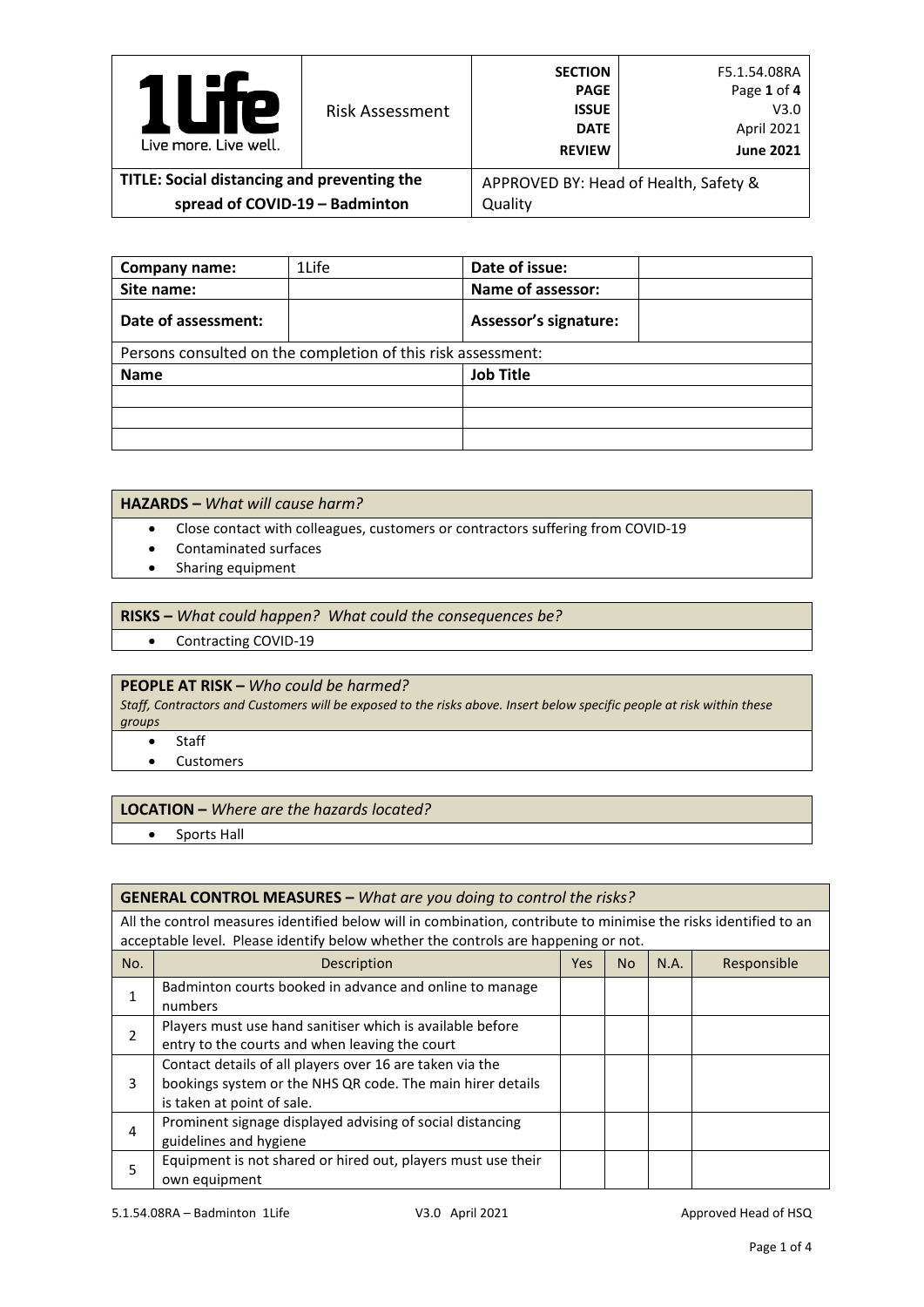| Р<br>Live more, Live well.                  | <b>Risk Assessment</b> | <b>SECTION</b><br><b>PAGE</b><br><b>ISSUE</b><br><b>DATE</b><br><b>REVIEW</b> | F5.1.54.08RA<br>Page 1 of 4<br>V3.0<br>April 2021<br><b>June 2021</b> |
|---------------------------------------------|------------------------|-------------------------------------------------------------------------------|-----------------------------------------------------------------------|
| TITLE: Social distancing and preventing the |                        |                                                                               | APPROVED BY: Head of Health, Safety &                                 |
| spread of COVID-19 - Badminton              |                        | Quality                                                                       |                                                                       |

| Company name:                                                | 1Life | Date of issue:               |  |  |  |
|--------------------------------------------------------------|-------|------------------------------|--|--|--|
| Site name:                                                   |       | Name of assessor:            |  |  |  |
| Date of assessment:                                          |       | <b>Assessor's signature:</b> |  |  |  |
| Persons consulted on the completion of this risk assessment: |       |                              |  |  |  |
| <b>Name</b>                                                  |       | <b>Job Title</b>             |  |  |  |
|                                                              |       |                              |  |  |  |
|                                                              |       |                              |  |  |  |
|                                                              |       |                              |  |  |  |

## **HAZARDS –** *What will cause harm?*

- Close contact with colleagues, customers or contractors suffering from COVID-19
- Contaminated surfaces
- Sharing equipment

### **RISKS –** *What could happen? What could the consequences be?*

• Contracting COVID-19

# **PEOPLE AT RISK –** *Who could be harmed?*

*Staff, Contractors and Customers will be exposed to the risks above. Insert below specific people at risk within these groups*

- Staff
- Customers

#### **LOCATION –** *Where are the hazards located?*

• Sports Hall

#### **GENERAL CONTROL MEASURES –** *What are you doing to control the risks?*

All the control measures identified below will in combination, contribute to minimise the risks identified to an acceptable level. Please identify below whether the controls are happening or not.

| No. | Description                                                  | Yes. | No. | N.A. | Responsible |
|-----|--------------------------------------------------------------|------|-----|------|-------------|
|     | Badminton courts booked in advance and online to manage      |      |     |      |             |
|     | numbers                                                      |      |     |      |             |
|     | Players must use hand sanitiser which is available before    |      |     |      |             |
|     | entry to the courts and when leaving the court               |      |     |      |             |
|     | Contact details of all players over 16 are taken via the     |      |     |      |             |
| 3.  | bookings system or the NHS QR code. The main hirer details   |      |     |      |             |
|     | is taken at point of sale.                                   |      |     |      |             |
| 4   | Prominent signage displayed advising of social distancing    |      |     |      |             |
|     | guidelines and hygiene                                       |      |     |      |             |
| 5   | Equipment is not shared or hired out, players must use their |      |     |      |             |
|     | own equipment                                                |      |     |      |             |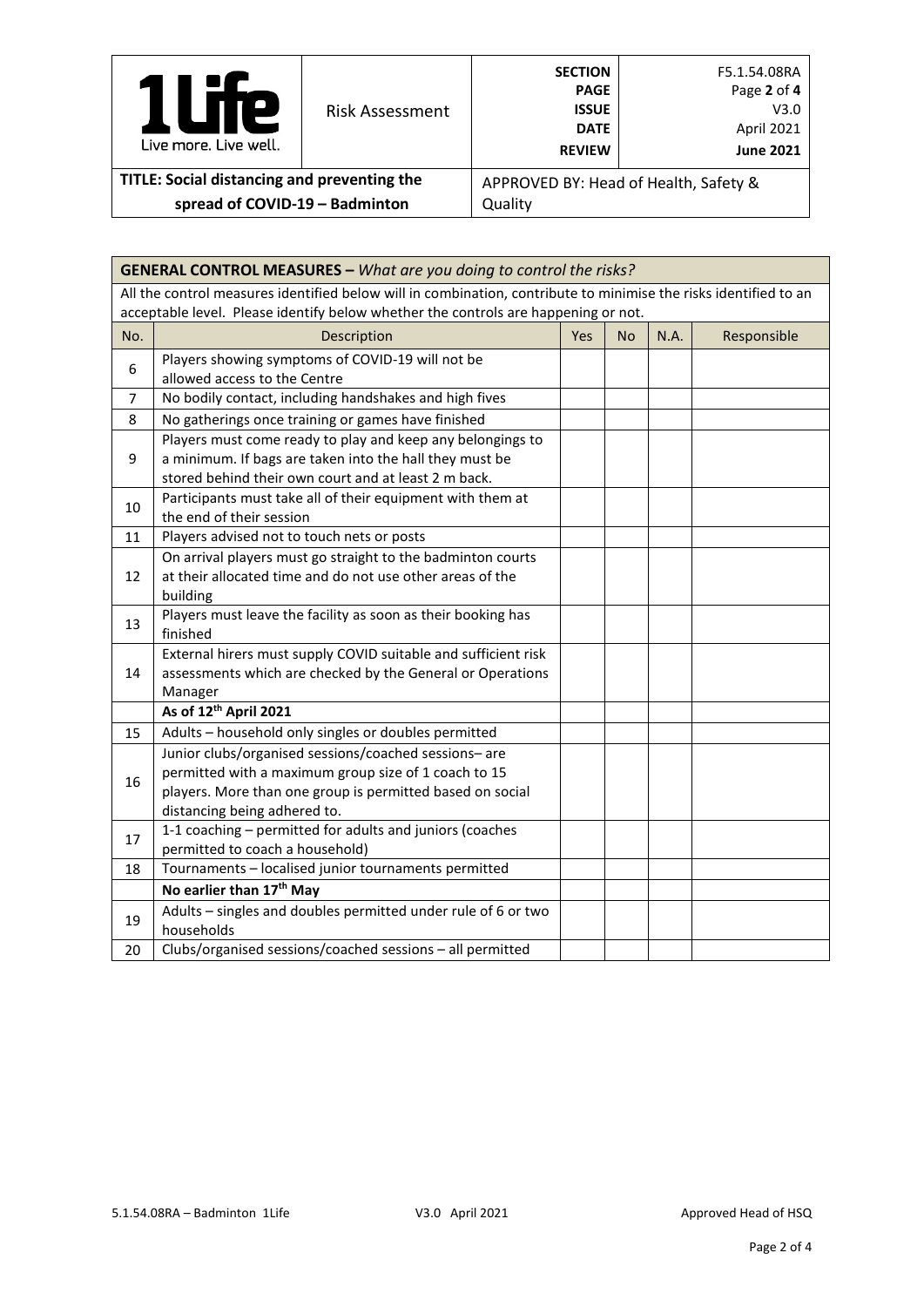| <b>P</b><br>Live more, Live well.           | <b>Risk Assessment</b> | <b>SECTION</b><br><b>PAGE</b><br><b>ISSUE</b><br><b>DATE</b><br><b>REVIEW</b> | F5.1.54.08RA<br>Page 2 of 4<br>V3.0<br>April 2021<br><b>June 2021</b> |
|---------------------------------------------|------------------------|-------------------------------------------------------------------------------|-----------------------------------------------------------------------|
| TITLE: Social distancing and preventing the |                        |                                                                               | APPROVED BY: Head of Health, Safety &                                 |
| spread of COVID-19 - Badminton              |                        | Quality                                                                       |                                                                       |

|                                                                                    | <b>GENERAL CONTROL MEASURES - What are you doing to control the risks?</b>                                       |     |           |      |             |
|------------------------------------------------------------------------------------|------------------------------------------------------------------------------------------------------------------|-----|-----------|------|-------------|
|                                                                                    | All the control measures identified below will in combination, contribute to minimise the risks identified to an |     |           |      |             |
| acceptable level. Please identify below whether the controls are happening or not. |                                                                                                                  |     |           |      |             |
| No.                                                                                | Description                                                                                                      | Yes | <b>No</b> | N.A. | Responsible |
| 6                                                                                  | Players showing symptoms of COVID-19 will not be                                                                 |     |           |      |             |
|                                                                                    | allowed access to the Centre                                                                                     |     |           |      |             |
| $\overline{7}$                                                                     | No bodily contact, including handshakes and high fives                                                           |     |           |      |             |
| 8                                                                                  | No gatherings once training or games have finished                                                               |     |           |      |             |
|                                                                                    | Players must come ready to play and keep any belongings to                                                       |     |           |      |             |
| 9                                                                                  | a minimum. If bags are taken into the hall they must be                                                          |     |           |      |             |
|                                                                                    | stored behind their own court and at least 2 m back.                                                             |     |           |      |             |
| 10                                                                                 | Participants must take all of their equipment with them at                                                       |     |           |      |             |
|                                                                                    | the end of their session                                                                                         |     |           |      |             |
| 11                                                                                 | Players advised not to touch nets or posts                                                                       |     |           |      |             |
|                                                                                    | On arrival players must go straight to the badminton courts                                                      |     |           |      |             |
| 12                                                                                 | at their allocated time and do not use other areas of the                                                        |     |           |      |             |
|                                                                                    | building                                                                                                         |     |           |      |             |
| 13                                                                                 | Players must leave the facility as soon as their booking has                                                     |     |           |      |             |
|                                                                                    | finished                                                                                                         |     |           |      |             |
|                                                                                    | External hirers must supply COVID suitable and sufficient risk                                                   |     |           |      |             |
| 14                                                                                 | assessments which are checked by the General or Operations                                                       |     |           |      |             |
|                                                                                    | Manager                                                                                                          |     |           |      |             |
|                                                                                    | As of 12 <sup>th</sup> April 2021                                                                                |     |           |      |             |
| 15                                                                                 | Adults - household only singles or doubles permitted                                                             |     |           |      |             |
|                                                                                    | Junior clubs/organised sessions/coached sessions-are                                                             |     |           |      |             |
| 16                                                                                 | permitted with a maximum group size of 1 coach to 15                                                             |     |           |      |             |
|                                                                                    | players. More than one group is permitted based on social                                                        |     |           |      |             |
|                                                                                    | distancing being adhered to.                                                                                     |     |           |      |             |
| 17                                                                                 | 1-1 coaching - permitted for adults and juniors (coaches<br>permitted to coach a household)                      |     |           |      |             |
| 18                                                                                 | Tournaments - localised junior tournaments permitted                                                             |     |           |      |             |
|                                                                                    | No earlier than 17th May                                                                                         |     |           |      |             |
|                                                                                    | Adults - singles and doubles permitted under rule of 6 or two                                                    |     |           |      |             |
| 19                                                                                 | households                                                                                                       |     |           |      |             |
| 20                                                                                 | Clubs/organised sessions/coached sessions - all permitted                                                        |     |           |      |             |
|                                                                                    |                                                                                                                  |     |           |      |             |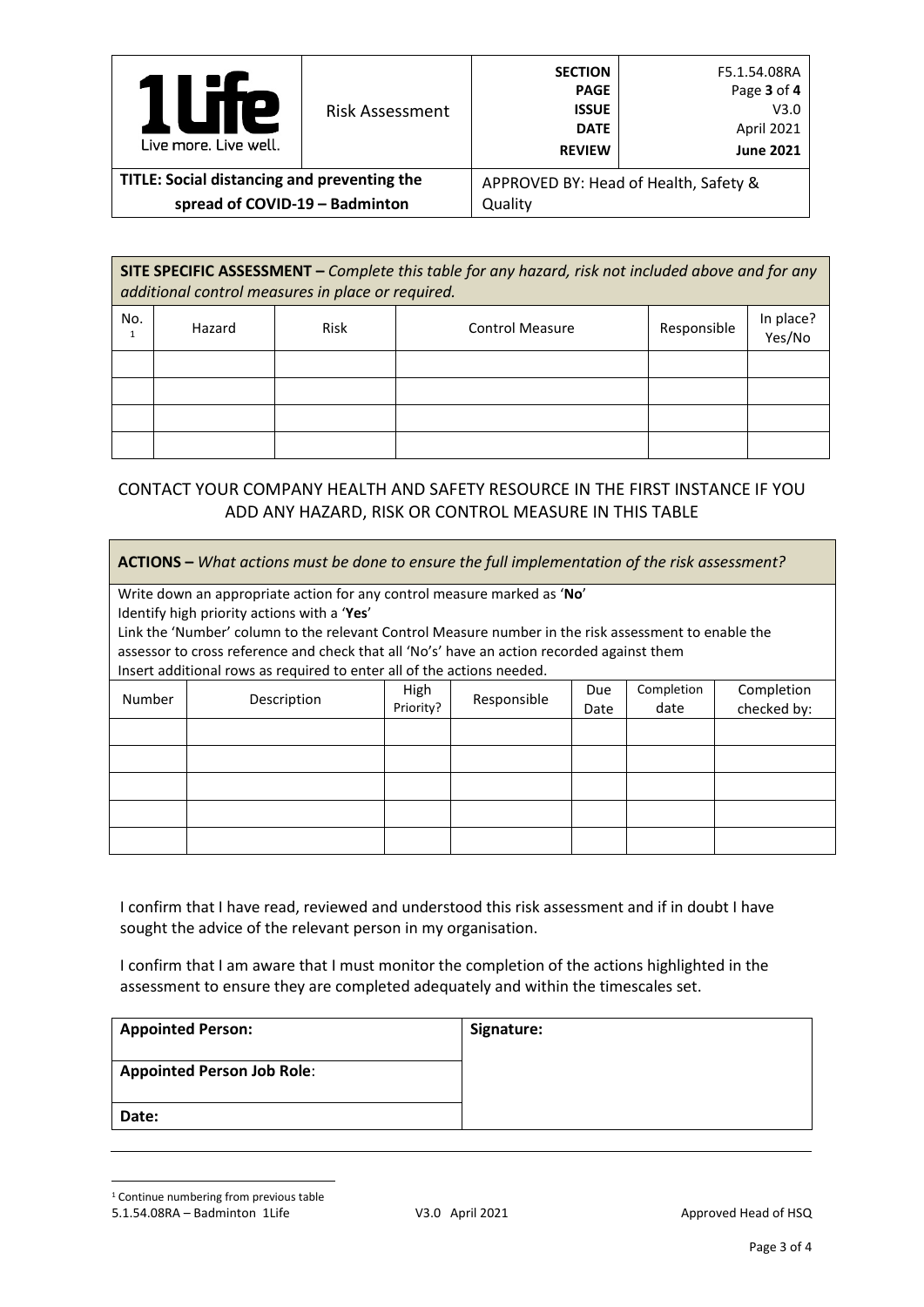| Р<br>Live more, Live well.                  | <b>Risk Assessment</b> | <b>SECTION</b><br><b>PAGE</b><br><b>ISSUE</b><br><b>DATE</b><br><b>REVIEW</b> | F5.1.54.08RA<br>Page 3 of 4<br>V3.0<br>April 2021<br><b>June 2021</b> |
|---------------------------------------------|------------------------|-------------------------------------------------------------------------------|-----------------------------------------------------------------------|
| TITLE: Social distancing and preventing the |                        | APPROVED BY: Head of Health, Safety &                                         |                                                                       |
| spread of COVID-19 - Badminton              |                        | Quality                                                                       |                                                                       |

**SITE SPECIFIC ASSESSMENT –** *Complete this table for any hazard, risk not included above and for any additional control measures in place or required.*

| No. | Hazard | Risk | <b>Control Measure</b> | Responsible | In place?<br>Yes/No |
|-----|--------|------|------------------------|-------------|---------------------|
|     |        |      |                        |             |                     |
|     |        |      |                        |             |                     |
|     |        |      |                        |             |                     |
|     |        |      |                        |             |                     |

# CONTACT YOUR COMPANY HEALTH AND SAFETY RESOURCE IN THE FIRST INSTANCE IF YOU ADD ANY HAZARD, RISK OR CONTROL MEASURE IN THIS TABLE

| <b>ACTIONS</b> – What actions must be done to ensure the full implementation of the risk assessment? |                                                                                                                                                                      |                   |             |             |                    |                           |
|------------------------------------------------------------------------------------------------------|----------------------------------------------------------------------------------------------------------------------------------------------------------------------|-------------------|-------------|-------------|--------------------|---------------------------|
|                                                                                                      | Write down an appropriate action for any control measure marked as 'No'<br>Identify high priority actions with a 'Yes'                                               |                   |             |             |                    |                           |
|                                                                                                      | Link the 'Number' column to the relevant Control Measure number in the risk assessment to enable the                                                                 |                   |             |             |                    |                           |
|                                                                                                      | assessor to cross reference and check that all 'No's' have an action recorded against them<br>Insert additional rows as required to enter all of the actions needed. |                   |             |             |                    |                           |
| Number                                                                                               | Description                                                                                                                                                          | High<br>Priority? | Responsible | Due<br>Date | Completion<br>date | Completion<br>checked by: |
|                                                                                                      |                                                                                                                                                                      |                   |             |             |                    |                           |
|                                                                                                      |                                                                                                                                                                      |                   |             |             |                    |                           |
|                                                                                                      |                                                                                                                                                                      |                   |             |             |                    |                           |
|                                                                                                      |                                                                                                                                                                      |                   |             |             |                    |                           |
|                                                                                                      |                                                                                                                                                                      |                   |             |             |                    |                           |

I confirm that I have read, reviewed and understood this risk assessment and if in doubt I have sought the advice of the relevant person in my organisation.

I confirm that I am aware that I must monitor the completion of the actions highlighted in the assessment to ensure they are completed adequately and within the timescales set.

| <b>Appointed Person:</b>          | Signature: |
|-----------------------------------|------------|
| <b>Appointed Person Job Role:</b> |            |
| Date:                             |            |

<span id="page-2-0"></span><sup>1</sup> Continue numbering from previous table